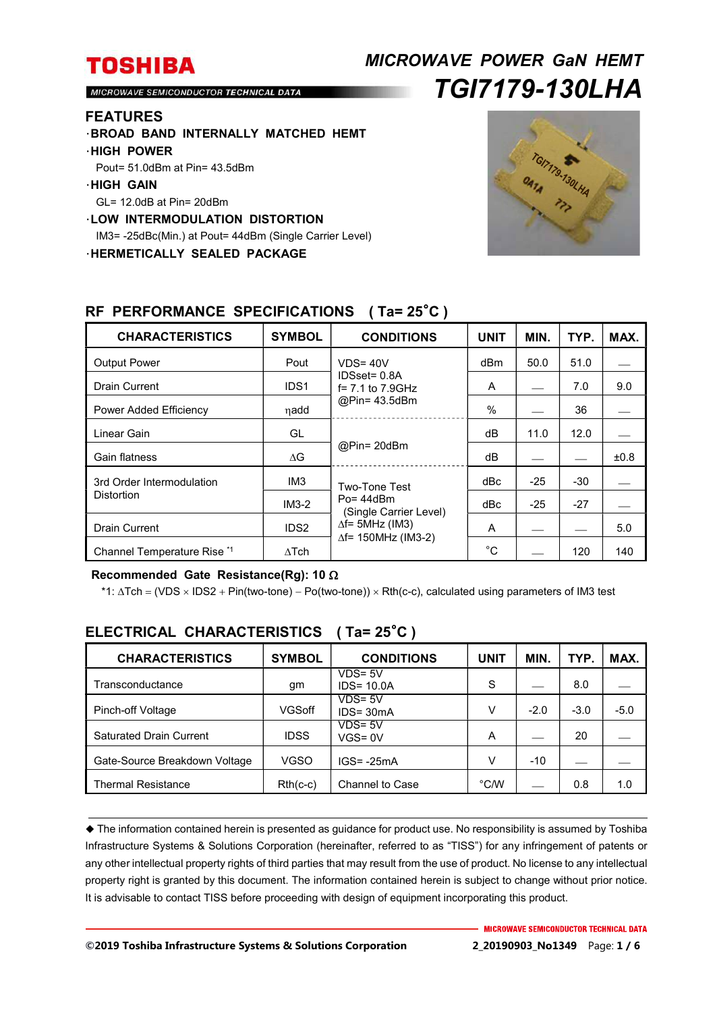# *MICROWAVE POWER GaN HEMT TGI7179-130LHA*

MICROWAVE SEMICONDUCTOR TECHNICAL DATA

#### **FEATURES**

- ・**BROAD BAND INTERNALLY MATCHED HEMT**
- ・**HIGH POWER**
- Pout= 51.0dBm at Pin= 43.5dBm
- ・**HIGH GAIN**
- GL= 12.0dB at Pin= 20dBm
- ・**LOW INTERMODULATION DISTORTION**

IM3= -25dBc(Min.) at Pout= 44dBm (Single Carrier Level)

・**HERMETICALLY SEALED PACKAGE** 



| <b>CHARACTERISTICS</b>                         | <b>SYMBOL</b>    | <b>CONDITIONS</b>                                                                                                 | <b>UNIT</b> | MIN.  | TYP.  | MAX. |
|------------------------------------------------|------------------|-------------------------------------------------------------------------------------------------------------------|-------------|-------|-------|------|
| <b>Output Power</b>                            | Pout             | $VDS = 40V$<br>IDSset= 0.8A<br>$f = 7.1$ to $7.9$ GHz<br>@Pin= 43.5dBm                                            | dBm         | 50.0  | 51.0  |      |
| Drain Current                                  | IDS <sub>1</sub> |                                                                                                                   | A           |       | 7.0   | 9.0  |
| Power Added Efficiency                         | ηadd             |                                                                                                                   | $\%$        |       | 36    |      |
| Linear Gain                                    | GL               | @Pin= 20dBm                                                                                                       | dB          | 11.0  | 12.0  |      |
| Gain flatness                                  | $\Delta G$       |                                                                                                                   | dB          |       |       | ±0.8 |
| 3rd Order Intermodulation<br><b>Distortion</b> | IM <sub>3</sub>  | Two-Tone Test<br>$Po = 44dBm$<br>(Single Carrier Level)<br>$\Delta f$ = 5MHz (IM3)<br>$\Delta f$ = 150MHz (IM3-2) | dBc         | $-25$ | $-30$ |      |
|                                                | $IM3-2$          |                                                                                                                   | dBc         | $-25$ | $-27$ |      |
| <b>Drain Current</b>                           | IDS <sub>2</sub> |                                                                                                                   | A           |       |       | 5.0  |
| Channel Temperature Rise *1                    | $\Delta$ Tch     |                                                                                                                   | $^{\circ}C$ |       | 120   | 140  |

### **RF PERFORMANCE SPECIFICATIONS ( Ta= 25**°**C )**

#### **Recommended Gate Resistance(Rg): 10**

 $*1$ :  $\Delta T$ ch = (VDS × IDS2 + Pin(two-tone) – Po(two-tone)) × Rth(c-c), calculated using parameters of IM3 test

| <b>CHARACTERISTICS</b>         | <b>SYMBOL</b> | <b>CONDITIONS</b>           | UNIT | <b>MIN</b> | TYP.   | MAX.   |
|--------------------------------|---------------|-----------------------------|------|------------|--------|--------|
| Transconductance               | gm            | $VDS = 5V$<br>$IDS = 10.0A$ | S    |            | 8.0    |        |
| Pinch-off Voltage              | VGSoff        | $VDS = 5V$<br>$IDS = 30mA$  | V    | $-2.0$     | $-3.0$ | $-5.0$ |
| <b>Saturated Drain Current</b> | <b>IDSS</b>   | $VDS = 5V$<br>$VGS = 0V$    | A    |            | 20     |        |
| Gate-Source Breakdown Voltage  | <b>VGSO</b>   | $IGS = -25mA$               | V    | $-10$      |        |        |
| <b>Thermal Resistance</b>      | $Rth(c-c)$    | Channel to Case             | °C/W |            | 0.8    | 1.0    |

## **ELECTRICAL CHARACTERISTICS ( Ta= 25**°**C )**

 The information contained herein is presented as guidance for product use. No responsibility is assumed by Toshiba Infrastructure Systems & Solutions Corporation (hereinafter, referred to as "TISS") for any infringement of patents or any other intellectual property rights of third parties that may result from the use of product. No license to any intellectual property right is granted by this document. The information contained herein is subject to change without prior notice. It is advisable to contact TISS before proceeding with design of equipment incorporating this product.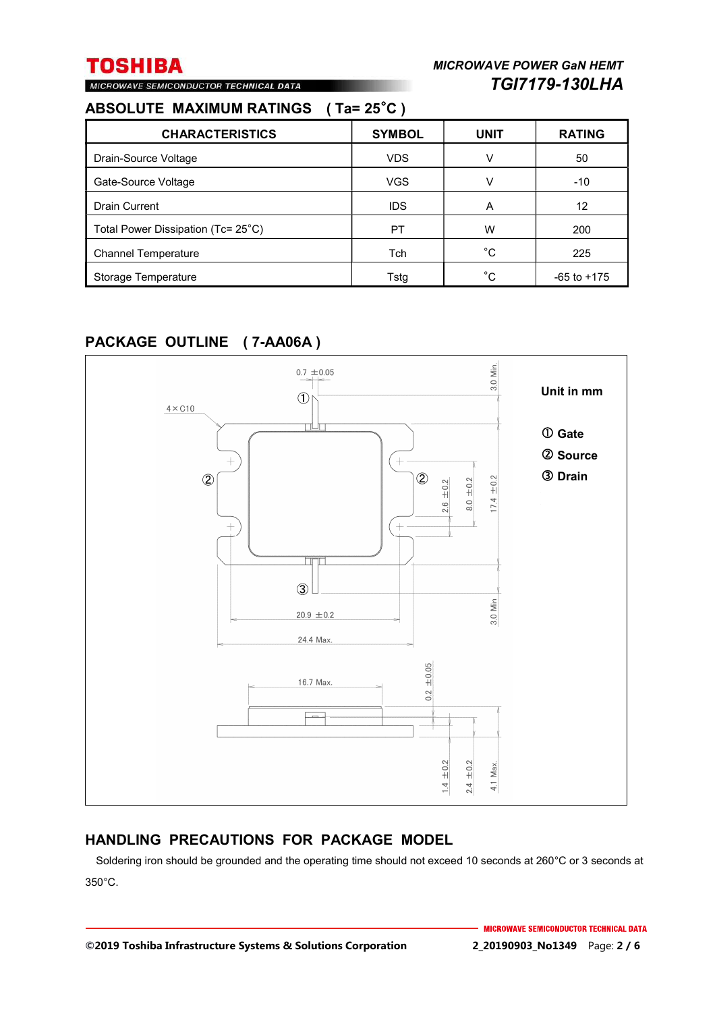## **ABSOLUTE MAXIMUM RATINGS ( Ta= 25**°**C )**

MICROWAVE SEMICONDUCTOR TECHNICAL DATA

| <b>CHARACTERISTICS</b>             | <b>SYMBOL</b> | <b>UNIT</b> | <b>RATING</b>   |
|------------------------------------|---------------|-------------|-----------------|
| Drain-Source Voltage               | <b>VDS</b>    | v           | 50              |
| Gate-Source Voltage                | <b>VGS</b>    | v           | $-10$           |
| <b>Drain Current</b>               | <b>IDS</b>    | A           | 12              |
| Total Power Dissipation (Tc= 25°C) | PT            | W           | 200             |
| <b>Channel Temperature</b>         | Tch           | °C          | 225             |
| Storage Temperature                | Tstg          | °C          | $-65$ to $+175$ |

## **PACKAGE OUTLINE ( 7-AA06A )**



### **HANDLING PRECAUTIONS FOR PACKAGE MODEL**

Soldering iron should be grounded and the operating time should not exceed 10 seconds at 260°C or 3 seconds at 350°C.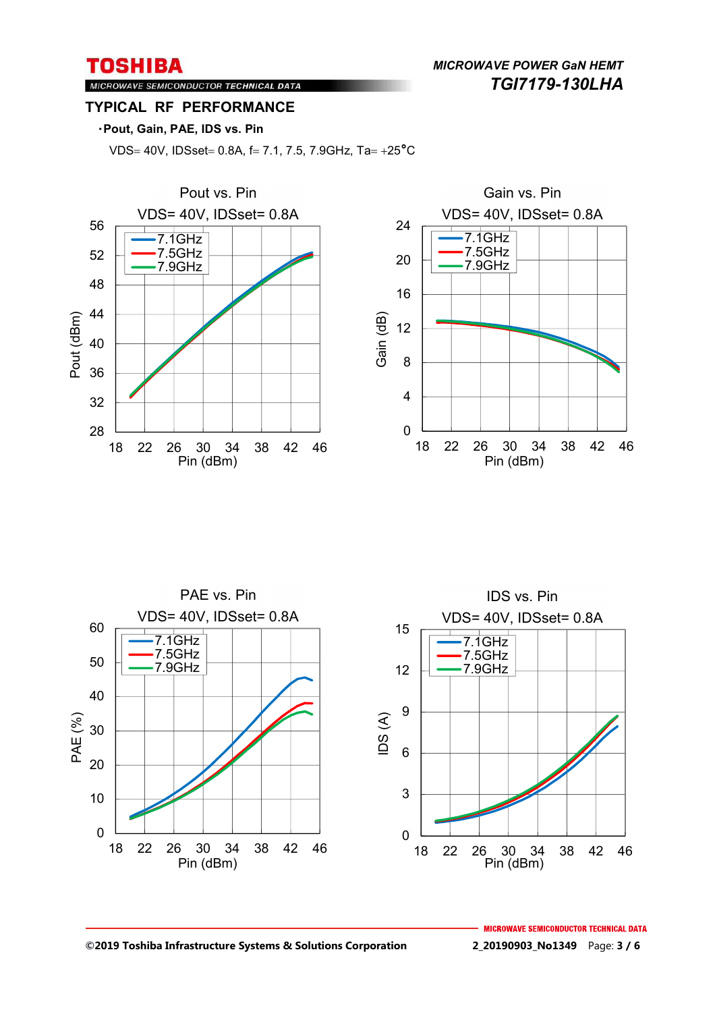*MICROWAVE POWER GaN HEMT TGI7179-130LHA* 

### MICROWAVE SEMICONDUCTOR TECHNICAL DATA **TYPICAL RF PERFORMANCE**

### ・**Pout, Gain, PAE, IDS vs. Pin**

VDS= 40V, IDSset= 0.8A, f= 7.1, 7.5, 7.9GHz, Ta=  $+25^{\circ}$ C



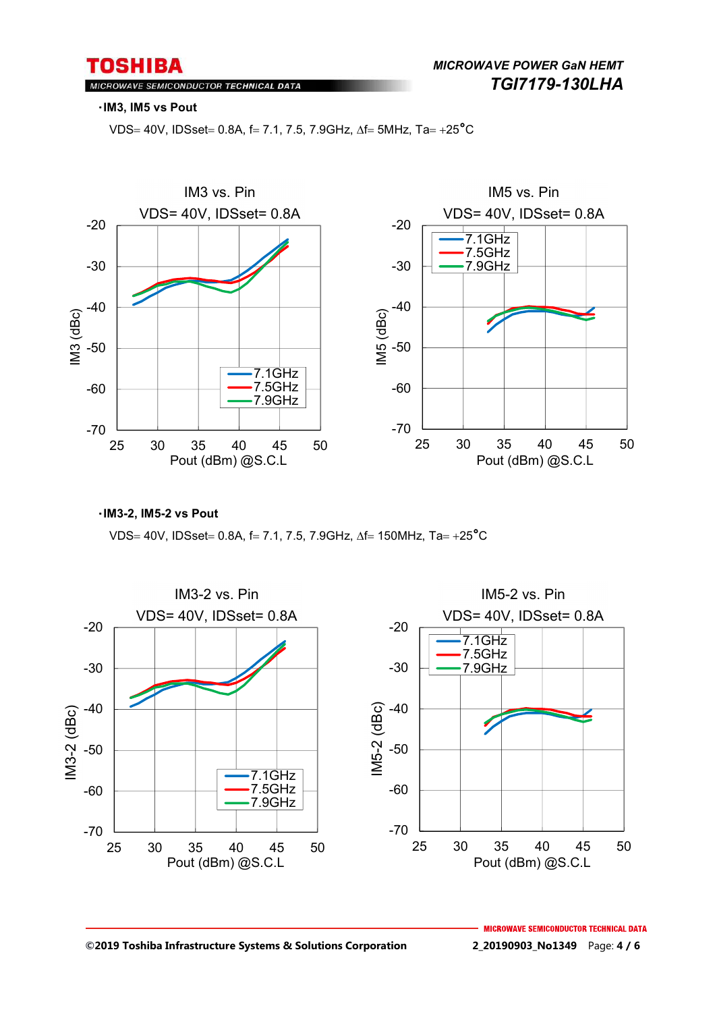*MICROWAVE POWER GaN HEMT TGI7179-130LHA* 

#### MICROWAVE SEMICONDUCTOR TECHNICAL DATA

#### ・**IM3, IM5 vs Pout**

VDS = 40V, IDSset = 0.8A, f = 7.1, 7.5, 7.9GHz,  $\Delta f = 5MHz$ , Ta = +25<sup>°</sup>C



#### ・**IM3-2, IM5-2 vs Pout**

VDS= 40V, IDSset= 0.8A, f= 7.1, 7.5, 7.9GHz,  $\Delta f = 150$ MHz, Ta= +25°C

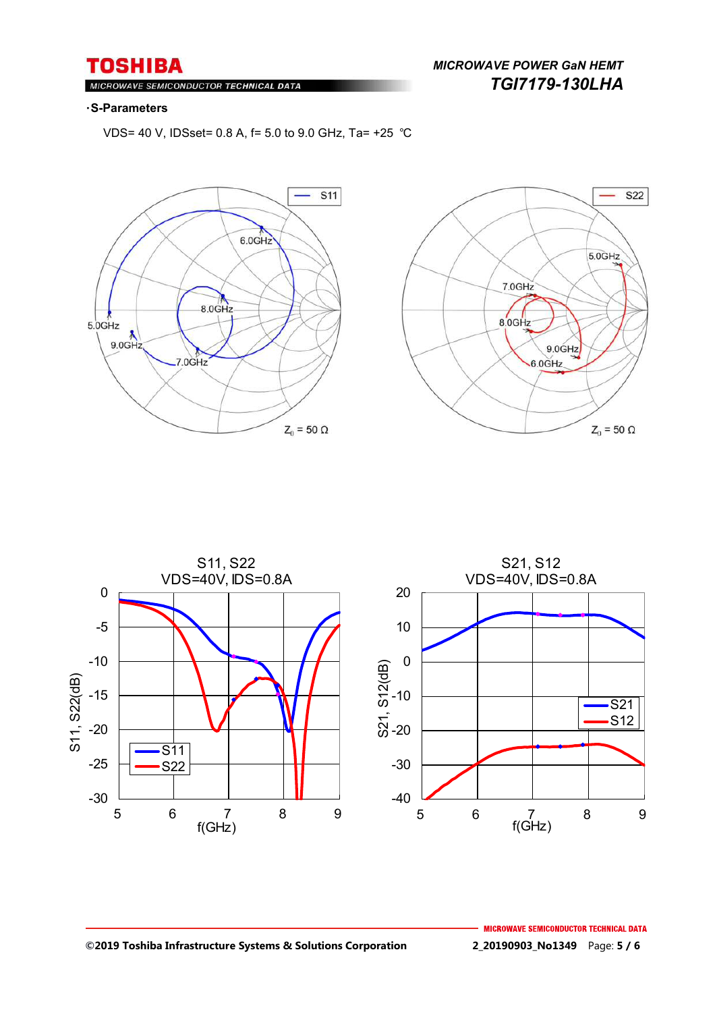$M$ ROWAVE SEMICONDUCTOR TECHNICAL DATA

### *MICROWAVE POWER GaN HEMT TGI7179-130LHA*

#### ・**S-Parameters**

VDS= 40 V, IDSset= 0.8 A, f= 5.0 to 9.0 GHz, Ta= +25 ℃